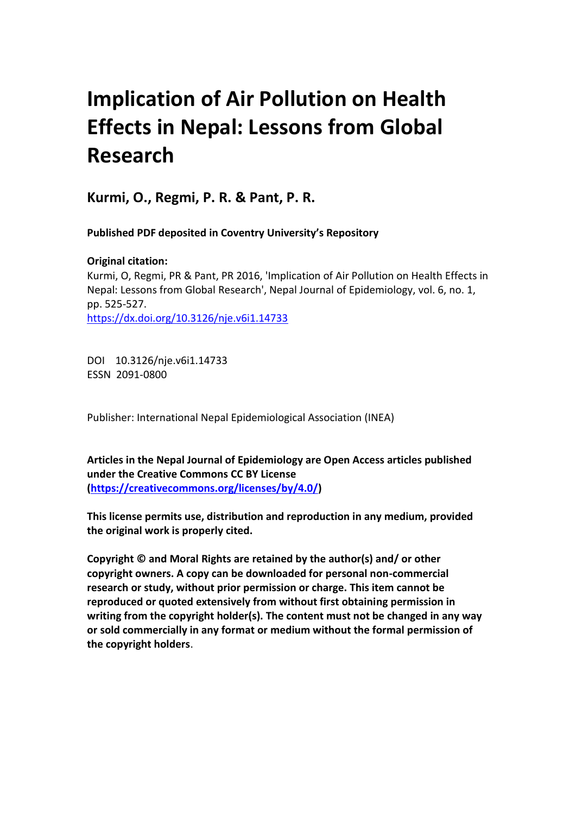# **Implication of Air Pollution on Health Effects in Nepal: Lessons from Global Research**

**Kurmi, O., Regmi, P. R. & Pant, P. R.** 

 **Published PDF deposited in Coventry University's Repository** 

 **Original citation:**  Kurmi, O, Regmi, PR & Pant, PR 2016, 'Implication of Air Pollution on Health Effects in Nepal: Lessons from Global Research', Nepal Journal of Epidemiology, vol. 6, no. 1, pp. 525-527. https://dx.doi.org/10.3126/nje.v6i1.14733

 DOI 10.3126/nje.v6i1.14733 ESSN 2091-0800

Publisher: International Nepal Epidemiological Association (INEA)

 **Articles in the Nepal Journal of Epidemiology are Open Access articles published under the Creative Commons CC BY License [\(https://creativecommons.org/licenses/by/4.0/\)](https://creativecommons.org/licenses/by/4.0/)** 

 **This license permits use, distribution and reproduction in any medium, provided the original work is properly cited.** 

 **Copyright © and Moral Rights are retained by the author(s) and/ or other copyright owners. A copy can be downloaded for personal non-commercial research or study, without prior permission or charge. This item cannot be reproduced or quoted extensively from without first obtaining permission in writing from the copyright holder(s). The content must not be changed in any way or sold commercially in any format or medium without the formal permission of the copyright holders**.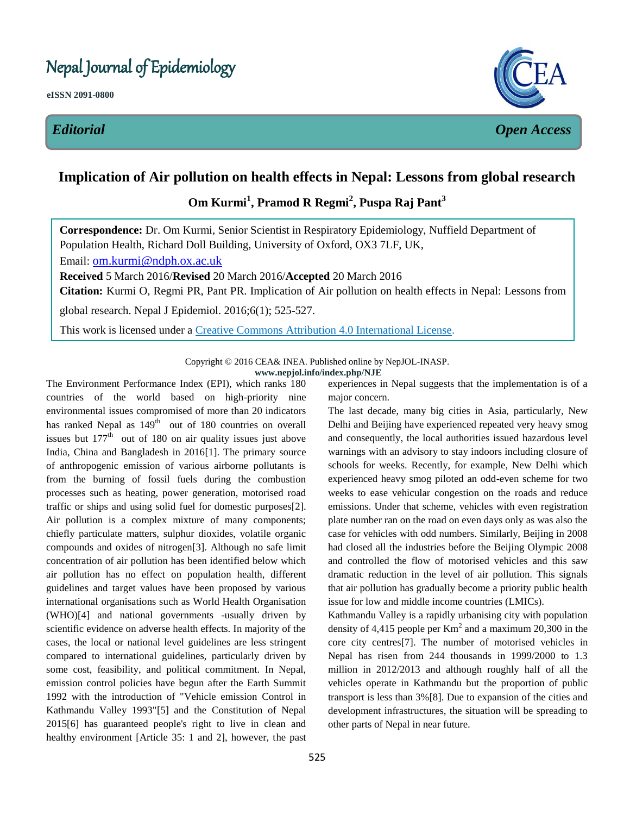#### .<br>.<br>. Nepal Journal of Epidemiology

**eISSN 2091-0800** 



## **Implication of Air pollution on health effects in Nepal: Lessons from global research**

## **Om Kurmi<sup>1</sup> , Pramod R Regmi<sup>2</sup> , Puspa Raj Pant<sup>3</sup>**

**Correspondence:** Dr. Om Kurmi, Senior Scientist in Respiratory Epidemiology, Nuffield Department of Population Health, Richard Doll Building, University of Oxford, OX3 7LF, UK,

Email: [om.kurmi@ndph.ox.ac.uk](mailto:om.kurmi@ctsu.ox.ac.uk) 

**Received** 5 March 2016/**Revised** 20 March 2016/**Accepted** 20 March 2016

**Citation:** Kurmi O, Regmi PR, Pant PR. Implication of Air pollution on health effects in Nepal: Lessons from

global research. Nepal J Epidemiol. 2016;6(1); 525-527.

This work is licensed under a [Creative Commons Attribution 4.0 International License.](http://creativecommons.org/licenses/by/4.0/)

 Copyright © 2016 CEA& INEA. Published online by NepJOL-INASP. **www.nepjol.info/index.php/NJE** 

 The Environment Performance Index (EPI), which ranks 180 countries of the world based on high-priority nine environmental issues compromised of more than 20 indicators has ranked Nepal as 149<sup>th</sup> out of 180 countries on overall issues but  $177<sup>th</sup>$  out of 180 on air quality issues just above India, China and Bangladesh in 2016[1]. The primary source of anthropogenic emission of various airborne pollutants is from the burning of fossil fuels during the combustion processes such as heating, power generation, motorised road traffic or ships and using solid fuel for domestic purposes[2]. Air pollution is a complex mixture of many components; chiefly particulate matters, sulphur dioxides, volatile organic compounds and oxides of nitrogen[3]. Although no safe limit concentration of air pollution has been identified below which air pollution has no effect on population health, different guidelines and target values have been proposed by various international organisations such as World Health Organisation (WHO)[4] and national governments -usually driven by scientific evidence on adverse health effects. In majority of the compared to international guidelines, particularly driven by some cost, feasibility, and political commitment. In Nepal, emission control policies have begun after the Earth Summit 1992 with the introduction of "Vehicle emission Control in Kathmandu Valley 1993"[5] and the Constitution of Nepal 2015[6] has guaranteed people's right to live in clean and healthy environment [Article 35: 1 and 2], however, the past cases, the local or national level guidelines are less stringent

 experiences in Nepal suggests that the implementation is of a major concern.

 The last decade, many big cities in Asia, particularly, New Delhi and Beijing have experienced repeated very heavy smog and consequently, the local authorities issued hazardous level warnings with an advisory to stay indoors including closure of schools for weeks. Recently, for example, New Delhi which experienced heavy smog piloted an odd-even scheme for two weeks to ease vehicular congestion on the roads and reduce emissions. Under that scheme, vehicles with even registration plate number ran on the road on even days only as was also the case for vehicles with odd numbers. Similarly, Beijing in 2008 had closed all the industries before the Beijing Olympic 2008 and controlled the flow of motorised vehicles and this saw dramatic reduction in the level of air pollution. This signals that air pollution has gradually become a priority public health issue for low and middle income countries (LMICs).

 Kathmandu Valley is a rapidly urbanising city with population density of 4,415 people per  $Km<sup>2</sup>$  and a maximum 20,300 in the core city centres[7]. The number of motorised vehicles in Nepal has risen from 244 thousands in 1999/2000 to 1.3 million in 2012/2013 and although roughly half of all the vehicles operate in Kathmandu but the proportion of public transport is less than 3%[8]. Due to expansion of the cities and development infrastructures, the situation will be spreading to other parts of Nepal in near future.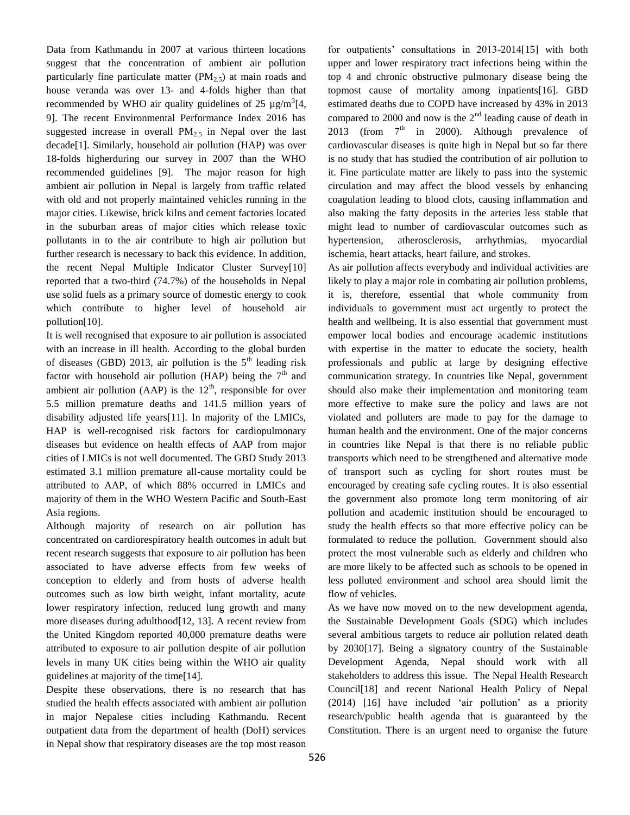Data from Kathmandu in 2007 at various thirteen locations suggest that the concentration of ambient air pollution particularly fine particulate matter  $(PM_{2.5})$  at main roads and house veranda was over 13- and 4-folds higher than that recommended by WHO air quality guidelines of 25  $\mu$ g/m<sup>3</sup>[4, 9]. The recent Environmental Performance Index 2016 has suggested increase in overall  $PM_{2.5}$  in Nepal over the last decade[1]. Similarly, household air pollution (HAP) was over 18-folds higherduring our survey in 2007 than the WHO recommended guidelines [9]. The major reason for high ambient air pollution in Nepal is largely from traffic related with old and not properly maintained vehicles running in the major cities. Likewise, brick kilns and cement factories located in the suburban areas of major cities which release toxic pollutants in to the air contribute to high air pollution but further research is necessary to back this evidence. In addition, the recent Nepal Multiple Indicator Cluster Survey[10] reported that a two-third (74.7%) of the households in Nepal use solid fuels as a primary source of domestic energy to cook which contribute to higher level of household air pollution[10].

 It is well recognised that exposure to air pollution is associated with an increase in ill health. According to the global burden of diseases (GBD) 2013, air pollution is the  $5<sup>th</sup>$  leading risk factor with household air pollution (HAP) being the  $7<sup>th</sup>$  and ambient air pollution (AAP) is the  $12<sup>th</sup>$ , responsible for over 5.5 million premature deaths and 141.5 million years of disability adjusted life years[11]. In majority of the LMICs, HAP is well-recognised risk factors for cardiopulmonary diseases but evidence on health effects of AAP from major cities of LMICs is not well documented. The GBD Study 2013 estimated 3.1 million premature all-cause mortality could be attributed to AAP, of which 88% occurred in LMICs and majority of them in the WHO Western Pacific and South-East Asia regions.

 Asia regions. Although majority of research on air pollution has concentrated on cardiorespiratory health outcomes in adult but recent research suggests that exposure to air pollution has been associated to have adverse effects from few weeks of conception to elderly and from hosts of adverse health outcomes such as low birth weight, infant mortality, acute lower respiratory infection, reduced lung growth and many more diseases during adulthood[12, 13]. A recent review from the United Kingdom reported 40,000 premature deaths were attributed to exposure to air pollution despite of air pollution levels in many UK cities being within the WHO air quality guidelines at majority of the time[14].

 Despite these observations, there is no research that has studied the health effects associated with ambient air pollution in major Nepalese cities including Kathmandu. Recent outpatient data from the department of health (DoH) services in Nepal show that respiratory diseases are the top most reason

 for outpatients' consultations in 2013-2014[15] with both upper and lower respiratory tract infections being within the top 4 and chronic obstructive pulmonary disease being the topmost cause of mortality among inpatients[16]. GBD estimated deaths due to COPD have increased by 43% in 2013 compared to 2000 and now is the  $2<sup>nd</sup>$  leading cause of death in 2013 (from  $7<sup>th</sup>$  in 2000). Although prevalence of cardiovascular diseases is quite high in Nepal but so far there is no study that has studied the contribution of air pollution to it. Fine particulate matter are likely to pass into the systemic circulation and may affect the blood vessels by enhancing coagulation leading to blood clots, causing inflammation and also making the fatty deposits in the arteries less stable that might lead to number of cardiovascular outcomes such as ischemia, heart attacks, heart failure, and strokes. hypertension, atherosclerosis, arrhythmias, myocardial

 As air pollution affects everybody and individual activities are likely to play a major role in combating air pollution problems, it is, therefore, essential that whole community from individuals to government must act urgently to protect the health and wellbeing. It is also essential that government must with expertise in the matter to educate the society, health professionals and public at large by designing effective communication strategy. In countries like Nepal, government should also make their implementation and monitoring team more effective to make sure the policy and laws are not violated and polluters are made to pay for the damage to human health and the environment. One of the major concerns in countries like Nepal is that there is no reliable public transports which need to be strengthened and alternative mode of transport such as cycling for short routes must be encouraged by creating safe cycling routes. It is also essential the government also promote long term monitoring of air pollution and academic institution should be encouraged to study the health effects so that more effective policy can be formulated to reduce the pollution. Government should also protect the most vulnerable such as elderly and children who are more likely to be affected such as schools to be opened in less polluted environment and school area should limit the flow of vehicles. empower local bodies and encourage academic institutions

 As we have now moved on to the new development agenda, the Sustainable Development Goals (SDG) which includes several ambitious targets to reduce air pollution related death by 2030[17]. Being a signatory country of the Sustainable Development Agenda, Nepal should work with all stakeholders to address this issue. The Nepal Health Research Council[18] and recent National Health Policy of Nepal (2014) [16] have included 'air pollution' as a priority research/public health agenda that is guaranteed by the Constitution. There is an urgent need to organise the future